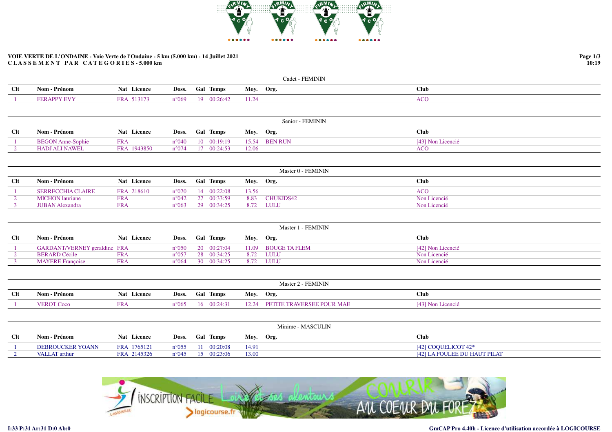

## **VOIE VERTE DE L'ONDAINE - Voie Verte de l'Ondaine - 5 km (5.000 km) - 14 Juillet 2021C L A S S E M E N T P A R C A T E G O R I E S - 5.000 km**

|            |                   |                       |               |                  | <b>FEMININ</b><br>$Cadet - i$ |      |  |
|------------|-------------------|-----------------------|---------------|------------------|-------------------------------|------|--|
| <b>Clt</b> | - Prénom<br>Nom - | Licence<br><b>Nat</b> | Doss.         | <b>Gal Temps</b> | Moy.<br>Org.                  | Club |  |
|            | A GED             | FR A                  | $^{\circ}069$ | 1Ω.<br>00.264    | .                             | ACC  |  |

|            |                          |             |                                 |           | Senior - FEMININ |                   |
|------------|--------------------------|-------------|---------------------------------|-----------|------------------|-------------------|
| <b>Clt</b> | Nom - Prénom             | Nat Licence | Doss. Gal Temps                 | Moy. Org. |                  | <b>Club</b>       |
|            | <b>BEGON Anne-Sophie</b> | <b>FRA</b>  | n°040 10 00:19:19 15.54 BEN RUN |           |                  | [43] Non Licencié |
|            | <b>HADJ ALI NAWEL</b>    | FRA 1943850 | $n^{\circ}074$ 17 00:24:53      | 12.06     |                  | ACO               |

|            |                        |             |                                    |           | Master 0 - FEMININ |              |
|------------|------------------------|-------------|------------------------------------|-----------|--------------------|--------------|
| <b>Clt</b> | Nom - Prénom           | Nat Licence | Doss. Gal Temps                    | Moy. Org. |                    | <b>Club</b>  |
|            | SERRECCHIA CLAIRE      | FRA 218610  | $n^{\circ}070$ 14 $00:22:08$ 13.56 |           |                    | <b>ACO</b>   |
|            | <b>MICHON</b> lauriane | <b>FRA</b>  | $n^{\circ}042$ 27 00:33:59         |           | 8.83 CHUKIDS42     | Non Licencié |
|            | <b>JUBAN Alexandra</b> | <b>FRA</b>  | $n^{\circ}063$ 29 $00:34:25$       | 8.72      | LULU               | Non Licencié |

|      |                                     |             |                 |                             |           | Master 1 - FEMININ  |                   |
|------|-------------------------------------|-------------|-----------------|-----------------------------|-----------|---------------------|-------------------|
| $Cl$ | Nom - Prénom                        | Nat Licence | Doss. Gal Temps |                             | Moy. Org. |                     | Club              |
|      | <b>GARDANT/VERNEY</b> geraldine FRA |             |                 | $n^{\circ}050$ 20 00:27:04  |           | 11.09 BOUGE TA FLEM | [42] Non Licencié |
|      | <b>BERARD Cécile</b>                | <b>FRA</b>  |                 | n°057 28 00:34:25 8.72 LULU |           |                     | Non Licencié      |
|      | <b>MAYERE</b> Francoise             | <b>FRA</b>  |                 | n°064 30 00:34:25 8.72 LULU |           |                     | Non Licencié      |

|        | Master 2 - FEMININ |             |  |                            |           |                                 |                   |  |  |  |  |
|--------|--------------------|-------------|--|----------------------------|-----------|---------------------------------|-------------------|--|--|--|--|
| $Cl$ t | Nom - Prénom       | Nat Licence |  | Doss. Gal Temps            | Moy. Org. |                                 | Club              |  |  |  |  |
|        | <b>VEROT Coco</b>  | FR A        |  | $n^{\circ}065$ 16 00:24:31 |           | 12.24 PETITE TRAVERSEE POUR MAE | [43] Non Licencié |  |  |  |  |

|            |                         |             |                |                     |              | Minime - MASCULIN            |
|------------|-------------------------|-------------|----------------|---------------------|--------------|------------------------------|
| <b>Clt</b> | Nom - Prénom            | Nat Licence |                | Doss. Gal Temps     | Moy.<br>Org. | Club                         |
|            | <b>DEBROUCKER YOANN</b> | FRA 1765121 | $n^{\circ}055$ | 11 00:20:08         | 14.91        | [42] COOUELICOT $42^*$       |
|            | VALLAT arthur           | FRA 2145326 | $n^{\circ}045$ | $15 \quad 00:23:06$ | 13.00        | [42] LA FOULEE DU HAUT PILAT |



**Page 1/310:19**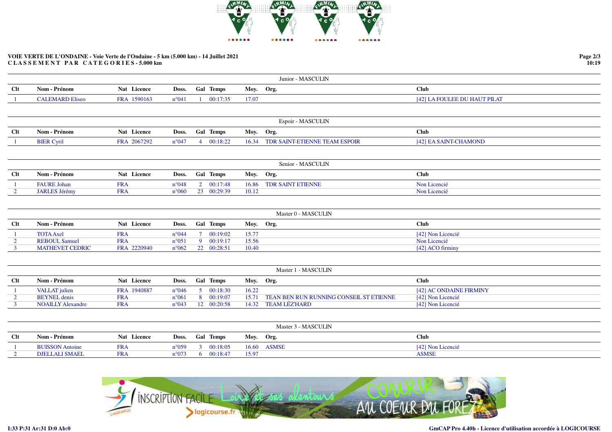

## **VOIE VERTE DE L'ONDAINE - Voie Verte de l'Ondaine - 5 km (5.000 km) - 14 Juillet 2021C L A S S E M E N T P A R C A T E G O R I E S - 5.000 km**

|                |                          |             |                |                |                  |           | Junior - MASCULIN                       |                              |
|----------------|--------------------------|-------------|----------------|----------------|------------------|-----------|-----------------------------------------|------------------------------|
| Clt            | Nom - Prénom             | Nat Licence | Doss.          |                | <b>Gal Temps</b> | Moy. Org. |                                         | <b>Club</b>                  |
|                | <b>CALEMARD Eliseo</b>   | FRA 1590163 | $n^{\circ}041$ | $\mathbf{1}$   | 00:17:35         | 17.07     |                                         | [42] LA FOULEE DU HAUT PILAT |
|                |                          |             |                |                |                  |           |                                         |                              |
|                |                          |             |                |                |                  |           | Espoir - MASCULIN                       |                              |
| <b>Clt</b>     | Nom - Prénom             | Nat Licence | Doss.          |                | Gal Temps        | Moy. Org. |                                         | <b>Club</b>                  |
| -1             | <b>BIER Cyril</b>        | FRA 2067292 | $n^{\circ}047$ |                | 4 00:18:22       | 16.34     | TDR SAINT-ETIENNE TEAM ESPOIR           | [42] EA SAINT-CHAMOND        |
|                |                          |             |                |                |                  |           |                                         |                              |
|                |                          |             |                |                |                  |           | Senior - MASCULIN                       |                              |
| Clt            | Nom - Prénom             | Nat Licence | Doss.          |                | Gal Temps        | Moy. Org. |                                         | <b>Club</b>                  |
|                | <b>FAURE Johan</b>       | <b>FRA</b>  | $n^{\circ}048$ |                | 2 00:17:48       | 16.86     | <b>TDR SAINT ETIENNE</b>                | Non Licencié                 |
| $\overline{2}$ | <b>JARLES Jérémy</b>     | <b>FRA</b>  | $n^{\circ}060$ |                | 23 00:29:39      | 10.12     |                                         | Non Licencié                 |
|                |                          |             |                |                |                  |           |                                         |                              |
|                |                          |             |                |                |                  |           | Master 0 - MASCULIN                     |                              |
| <b>Clt</b>     | Nom - Prénom             | Nat Licence | Doss.          |                | Gal Temps        | Moy. Org. |                                         | <b>Club</b>                  |
|                | <b>TOTA Axel</b>         | <b>FRA</b>  | $n^{\circ}044$ | $7^{\circ}$    | 00:19:02         | 15.77     |                                         | [42] Non Licencié            |
| $\overline{2}$ | <b>REBOUL Samuel</b>     | <b>FRA</b>  | $n^{\circ}051$ | 9 <sup>°</sup> | 00:19:17         | 15.56     |                                         | Non Licencié                 |
| $\mathbf{3}$   | <b>MATHEVET CEDRIC</b>   | FRA 2220940 | $n^{\circ}062$ |                | 22 00:28:51      | 10.40     |                                         | [42] ACO firminy             |
|                |                          |             |                |                |                  |           |                                         |                              |
|                |                          |             |                |                |                  |           | Master 1 - MASCULIN                     |                              |
| Clt            | Nom - Prénom             | Nat Licence | Doss.          |                | Gal Temps        | Moy. Org. |                                         | <b>Club</b>                  |
|                | <b>VALLAT</b> julien     | FRA 1940887 | $n^{\circ}046$ |                | 5 00:18:30       | 16.22     |                                         | [42] AC ONDAINE FIRMINY      |
| $\overline{2}$ | <b>BEYNEL</b> denis      | <b>FRA</b>  | $n^{\circ}061$ | 8              | 00:19:07         | 15.71     | TEAN BEN RUN RUNNING CONSEIL ST ETIENNE | [42] Non Licencié            |
| $\overline{3}$ | <b>NOAILLY Alexandre</b> | <b>FRA</b>  | $n^{\circ}043$ |                | 12 00:20:58      | 14.32     | <b>TEAM LÉZ'HARD</b>                    | [42] Non Licencié            |
|                |                          |             |                |                |                  |           |                                         |                              |
|                |                          |             |                |                |                  |           | Master 3 - MASCULIN                     |                              |
| Clt            | Nom - Prénom             | Nat Licence | Doss.          |                | Gal Temps        | Moy. Org. |                                         | <b>Club</b>                  |
|                | <b>BUISSON Antoine</b>   | <b>FRA</b>  | $n^{\circ}059$ | 3 <sup>1</sup> | 00:18:05         | 16.60     | <b>ASMSE</b>                            | [42] Non Licencié            |
| $\overline{2}$ | <b>DJELLALI SMAEL</b>    | <b>FRA</b>  | $n^{\circ}073$ |                | 600:18:47        | 15.97     |                                         | <b>ASMSE</b>                 |



**Page 2/3 10:19**